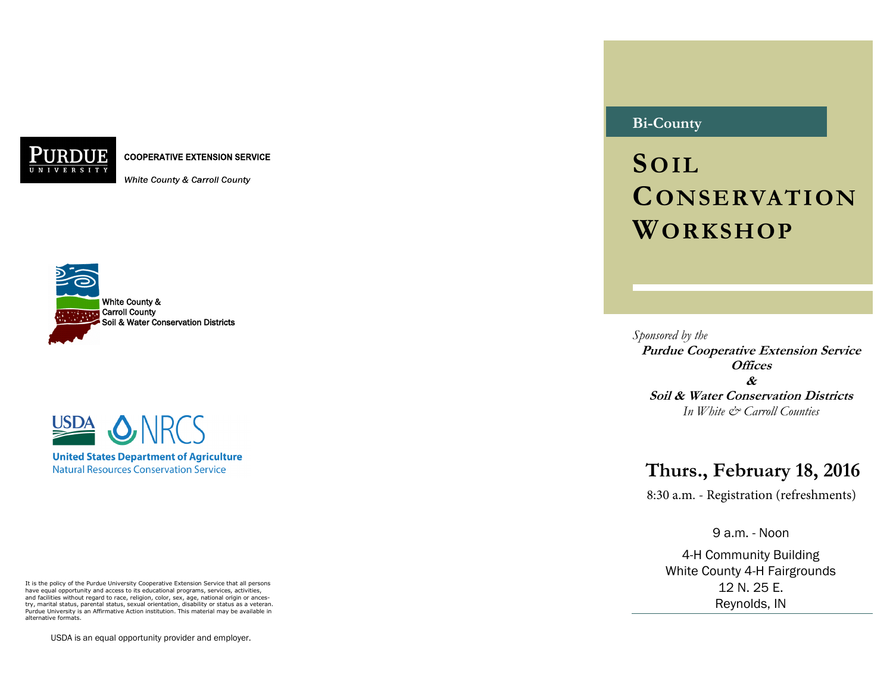**COOPERATIVE EXTENSION SERVICE** 

White County & Carroll County





**Natural Resources Conservation Service** 

It is the policy of the Purdue University Cooperative Extension Service that all persons have equal opportunity and access to its educational programs, services, activities, and facilities without regard to race, religion, color, sex, age, national origin or ancestry, marital status, parental status, sexual orientation, disability or status as a veteran. Purdue University is an Affirmative Action institution. This material may be available in alternative formats.

USDA is an equal opportunity provider and employer.

# **Bi-County**

**SOIL CONSERVATION WORKSHOP**

*Sponsored by the*  **Purdue Cooperative Extension Service Offices & Soil & Water Conservation Districts**  *In White & Carroll Counties* 

# **Thurs., February 18, 2016**

8:30 a.m. - Registration (refreshments)

9 a.m. - Noon

4-H Community Building White County 4-H Fairgrounds 12 N. 25 E. Reynolds, IN